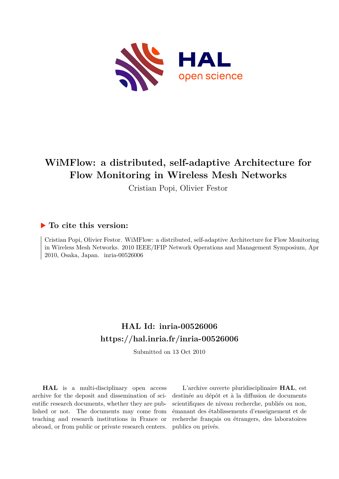

## **WiMFlow: a distributed, self-adaptive Architecture for Flow Monitoring in Wireless Mesh Networks**

Cristian Popi, Olivier Festor

### **To cite this version:**

Cristian Popi, Olivier Festor. WiMFlow: a distributed, self-adaptive Architecture for Flow Monitoring in Wireless Mesh Networks. 2010 IEEE/IFIP Network Operations and Management Symposium, Apr 2010, Osaka, Japan. inria-00526006

## **HAL Id: inria-00526006 <https://hal.inria.fr/inria-00526006>**

Submitted on 13 Oct 2010

**HAL** is a multi-disciplinary open access archive for the deposit and dissemination of scientific research documents, whether they are published or not. The documents may come from teaching and research institutions in France or abroad, or from public or private research centers.

L'archive ouverte pluridisciplinaire **HAL**, est destinée au dépôt et à la diffusion de documents scientifiques de niveau recherche, publiés ou non, émanant des établissements d'enseignement et de recherche français ou étrangers, des laboratoires publics ou privés.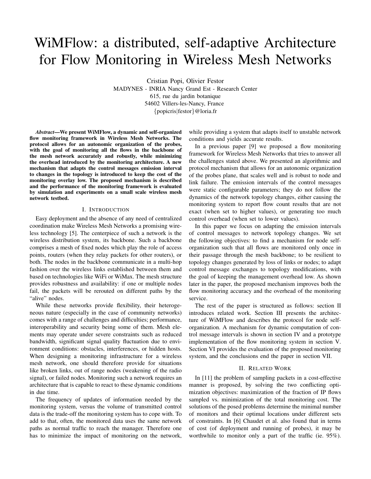# WiMFlow: a distributed, self-adaptive Architecture for Flow Monitoring in Wireless Mesh Networks

Cristian Popi, Olivier Festor

MADYNES - INRIA Nancy Grand Est - Research Center 615, rue du jardin botanique 54602 Villers-les-Nancy, France {popicris|festor}@loria.fr

*Abstract*—We present WiMFlow, a dynamic and self-organized flow monitoring framework in Wireless Mesh Networks. The protocol allows for an autonomic organization of the probes, with the goal of monitoring all the flows in the backbone of the mesh network accurately and robustly, while minimizing the overhead introduced by the monitoring architecture. A new mechanism that adapts the control messages emission interval to changes in the topology is introduced to keep the cost of the monitoring overlay low. The proposed mechanism is described and the performance of the monitoring framework is evaluated by simulation and experiments on a small scale wireless mesh network testbed.

#### I. INTRODUCTION

Easy deployment and the absence of any need of centralized coordination make Wireless Mesh Networks a promising wireless technology [5]. The centerpiece of such a network is the wireless distribution system, its backbone. Such a backbone comprises a mesh of fixed nodes which play the role of access points, routers (when they relay packets for other routers), or both. The nodes in the backbone communicate in a multi-hop fashion over the wireless links established between them and based on technologies like WiFi or WiMax. The mesh structure provides robustness and availability: if one or multiple nodes fail, the packets will be rerouted on different paths by the "alive" nodes.

While these networks provide flexibility, their heterogeneous nature (especially in the case of community networks) comes with a range of challenges and difficulties; performance, interoperability and security being some of them. Mesh elements may operate under severe constraints such as reduced bandwidth, significant signal quality fluctuation due to environment conditions: obstacles, interferences, or hidden hosts. When designing a monitoring infrastructure for a wireless mesh network, one should therefore provide for situations like broken links, out of range nodes (weakening of the radio signal), or failed nodes. Monitoring such a network requires an architecture that is capable to react to these dynamic conditions in due time.

The frequency of updates of information needed by the monitoring system, versus the volume of transmitted control data is the trade-off the monitoring system has to cope with. To add to that, often, the monitored data uses the same network paths as normal traffic to reach the manager. Therefore one has to minimize the impact of monitoring on the network,

while providing a system that adapts itself to unstable network conditions and yields accurate results.

In a previous paper [9] we proposed a flow monitoring framework for Wireless Mesh Networks that tries to answer all the challenges stated above. We presented an algorithmic and protocol mechanism that allows for an autonomic organization of the probes plane, that scales well and is robust to node and link failure. The emission intervals of the control messages were static configurable parameters; they do not follow the dynamics of the network topology changes, either causing the monitoring system to report flow count results that are not exact (when set to higher values), or generating too much control overhead (when set to lower values).

In this paper we focus on adapting the emission intervals of control messages to network topology changes. We set the following objectives: to find a mechanism for node selforganization such that all flows are monitored only once in their passage through the mesh backbone; to be resilient to topology changes generated by loss of links or nodes; to adapt control message exchanges to topology modifications, with the goal of keeping the management overhead low. As shown later in the paper, the proposed mechanism improves both the flow monitoring accuracy and the overhead of the monitoring service.

The rest of the paper is structured as follows: section II introduces related work. Section III presents the architecture of WiMFlow and describes the protocol for node selforganization. A mechanism for dynamic computation of control message intervals is shown in section IV and a prototype implementation of the flow monitoring system in section V. Section VI provides the evaluation of the proposed monitoring system, and the conclusions end the paper in section VII.

#### II. RELATED WORK

In [11] the problem of sampling packets in a cost-effective manner is proposed, by solving the two conflicting optimization objectives: maximization of the fraction of IP flows sampled vs. minimization of the total monitoring cost. The solutions of the posed problems determine the minimal number of monitors and their optimal locations under different sets of constraints. In [6] Chaudet et al. also found that in terms of cost (of deployment and running of probes), it may be worthwhile to monitor only a part of the traffic (ie. 95%).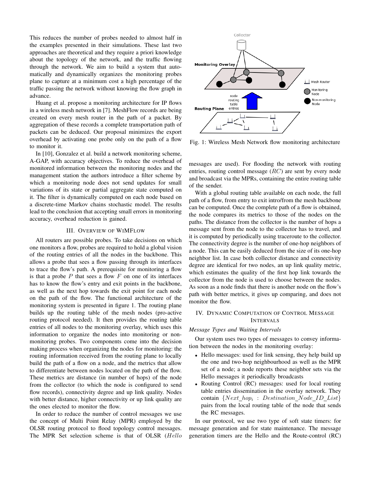This reduces the number of probes needed to almost half in the examples presented in their simulations. These last two approaches are theoretical and they require a priori knowledge about the topology of the network, and the traffic flowing through the network. We aim to build a system that automatically and dynamically organizes the monitoring probes plane to capture at a minimum cost a high percentage of the traffic passing the network without knowing the flow graph in advance.

Huang et al. propose a monitoring architecture for IP flows in a wireless mesh network in [7]. MeshFlow records are being created on every mesh router in the path of a packet. By aggregation of these records a complete transportation path of packets can be deduced. Our proposal minimizes the export overhead by activating one probe only on the path of a flow to monitor it.

In [10], Gonzalez et al. build a network monitoring scheme, A-GAP, with accuracy objectives. To reduce the overhead of monitored information between the monitoring nodes and the management station the authors introduce a filter scheme by which a monitoring node does not send updates for small variations of its state or partial aggregate state computed on it. The filter is dynamically computed on each node based on a discrete-time Markov chains stochastic model. The results lead to the conclusion that accepting small errors in monitoring accuracy, overhead reduction is gained.

#### III. OVERVIEW OF WIMFLOW

All routers are possible probes. To take decisions on which one monitors a flow, probes are required to hold a global vision of the routing entries of all the nodes in the backbone. This allows a probe that sees a flow passing through its interfaces to trace the flow's path. A prerequisite for monitoring a flow is that a probe  $P$  that sees a flow  $F$  on one of its interfaces has to know the flow's entry and exit points in the backbone, as well as the next hop towards the exit point for each node on the path of the flow. The functional architecture of the monitoring system is presented in figure 1. The routing plane builds up the routing table of the mesh nodes (pro-active routing protocol needed). It then provides the routing table entries of all nodes to the monitoring overlay, which uses this information to organize the nodes into monitoring or nonmonitoring probes. Two components come into the decision making process when organizing the nodes for monitoring: the routing information received from the routing plane to locally build the path of a flow on a node, and the metrics that allow to differentiate between nodes located on the path of the flow. These metrics are distance (in number of hops) of the node from the collector (to which the node is configured to send flow records), connectivity degree and up link quality. Nodes with better distance, higher connectivity or up link quality are the ones elected to monitor the flow.

In order to reduce the number of control messages we use the concept of Multi Point Relay (MPR) employed by the OLSR routing protocol to flood topology control messages. The MPR Set selection scheme is that of OLSR (Hello



Fig. 1: Wireless Mesh Network flow monitoring architecture

messages are used). For flooding the network with routing entries, routing control message (RC) are sent by every node and broadcast via the MPRs, containing the entire routing table of the sender.

With a global routing table available on each node, the full path of a flow, from entry to exit intro/from the mesh backbone can be computed. Once the complete path of a flow is obtained, the node compares its metrics to those of the nodes on the paths. The distance from the collector is the number of hops a message sent from the node to the collector has to travel, and it is computed by periodically using traceroute to the collector. The connectivity degree is the number of one-hop neighbors of a node. This can be easily deduced from the size of its one-hop neighbor list. In case both collector distance and connectivity degree are identical for two nodes, an up link quality metric, which estimates the quality of the first hop link towards the collector from the node is used to choose between the nodes. As soon as a node finds that there is another node on the flow's path with better metrics, it gives up comparing, and does not monitor the flow.

#### IV. DYNAMIC COMPUTATION OF CONTROL MESSAGE INTERVALS

#### *Message Types and Waiting Intervals*

Our system uses two types of messages to convey information between the nodes in the monitoring overlay:

- Hello messages: used for link sensing, they help build up the one and two-hop neighbourhood as well as the MPR set of a node; a node reports these neighbor sets via the Hello messages it periodically broadcasts
- Routing Control (RC) messages: used for local routing table entries dissemination in the overlay network. They contain  $\{Next\_hop_i : Destination\_Node\_ID\_List\}$ pairs from the local routing table of the node that sends the RC messages.

In our protocol, we use two type of soft state timers: for message generation and for state maintenance. The message generation timers are the Hello and the Route-control (RC)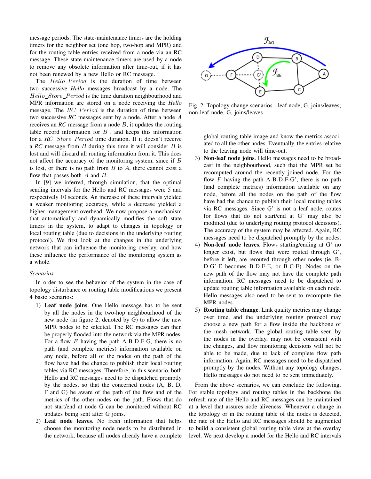message periods. The state-maintenance timers are the holding timers for the neighbor set (one hop, two-hop and MPR) and for the routing table entries received from a node via an RC message. These state-maintenance timers are used by a node to remove any obsolete information after time-out, if it has not been renewed by a new Hello or RC message.

The Hello Period is the duration of time between two successive *Hello* messages broadcast by a node. The Hello\_Store\_Period is the time duration neighbourhood and MPR information are stored on a node receiving the *Hello* message. The  $RC\_Period$  is the duration of time between two successive *RC* messages sent by a node. After a node A receives an *RC* message from a node B, it updates the routing table record information for  $B$ , and keeps this information for a RC\_Store\_Period time duration. If it doesn't receive a *RC* message from B during this time it will consider B is lost and will discard all routing information from it. This does not affect the accuracy of the monitoring system, since if B is lost, or there is no path from  $B$  to  $A$ , there cannot exist a flow that passes both  $A$  and  $B$ .

In [9] we inferred, through simulation, that the optimal sending intervals for the Hello and RC messages were 5 and respectively 10 seconds. An increase of these intervals yielded a weaker monitoring accuracy, while a decrease yielded a higher management overhead. We now propose a mechanism that automatically and dynamically modifies the soft state timers in the system, to adapt to changes in topology or local routing table (due to decisions in the underlying routing protocol). We first look at the changes in the underlying network that can influence the monitoring overlay, and how these influence the performance of the monitoring system as a whole.

#### *Scenarios*

In order to see the behavior of the system in the case of topology disturbance or routing table modifications we present 4 basic scenarios:

- 1) Leaf node joins. One Hello message has to be sent by all the nodes in the two-hop neighbourhood of the new node (in figure 2, denoted by G) to allow the new MPR nodes to be selected. The RC messages can then be properly flooded into the network via the MPR nodes. For a flow  $F$  having the path A-B-D-F-G, there is no path (and complete metrics) information available on any node, before all of the nodes on the path of the flow have had the chance to publish their local routing tables via RC messages. Therefore, in this scenario, both Hello and RC messages need to be dispatched promptly by the nodes, so that the concerned nodes (A, B, D, F and G) be aware of the path of the flow and of the metrics of the other nodes on the path. Flows that do not start/end at node G can be monitored without RC updates being sent after G joins.
- 2) Leaf node leaves. No fresh information that helps choose the monitoring node needs to be distributed in the network, because all nodes already have a complete



Fig. 2: Topology change scenarios - leaf node, G, joins/leaves; non-leaf node, G, joins/leaves

global routing table image and know the metrics associated to all the other nodes. Eventually, the entries relative to the leaving node will time-out.

- 3) Non-leaf node joins. Hello messages need to be broadcast in the neighbourhood, such that the MPR set be recomputed around the recently joined node. For the flow  $F$  having the path A-B-D-F-G', there is no path (and complete metrics) information available on any node, before all the nodes on the path of the flow have had the chance to publish their local routing tables via RC messages. Since G' is not a leaf node, routes for flows that do not start/end at G' may also be modified (due to underlying routing protocol decisions). The accuracy of the system may be affected. Again, RC messages need to be dispatched promptly by the nodes.
- 4) Non-leaf node leaves. Flows starting/ending at G' no longer exist, but flows that were routed through G', before it left, are rerouted through other nodes (ie. B-D-G'-E becomes B-D-F-E, or B-C-E). Nodes on the new path of the flow may not have the complete path information. RC messages need to be dispatched to update routing table information available on each node. Hello messages also need to be sent to recompute the MPR nodes.
- 5) Routing table change. Link quality metrics may change over time, and the underlying routing protocol may choose a new path for a flow inside the backbone of the mesh network. The global routing table seen by the nodes in the overlay, may not be consistent with the changes, and flow monitoring decisions will not be able to be made, due to lack of complete flow path information. Again, RC messages need to be dispatched promptly by the nodes. Without any topology changes, Hello messages do not need to be sent immediately.

From the above scenarios, we can conclude the following. For stable topology and routing tables in the backbone the refresh rate of the Hello and RC messages can be maintained at a level that assures node aliveness. Whenever a change in the topology or in the routing table of the nodes is detected, the rate of the Hello and RC messages should be augmented to build a consistent global routing table view at the overlay level. We next develop a model for the Hello and RC intervals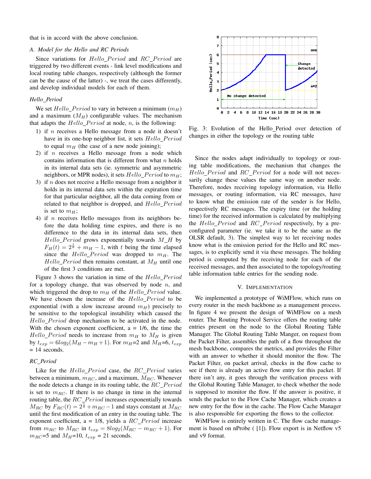that is in accord with the above conclusion.

#### *A. Model for the Hello and RC Periods*

Since variations for Hello Period and RC Period are triggered by two different events - link level modifications and local routing table changes, respectively (although the former can be the cause of the latter) -, we treat the cases differently, and develop individual models for each of them.

#### *Hello Period*

We set  $Hello\_Period$  to vary in between a minimum  $(m_H)$ and a maximum  $(M_H)$  configurable values. The mechanism that adapts the  $Hello\_Period$  at node, n, is the following:

- 1) if  $n$  receives a Hello message from a node it doesn't have in its one-hop neighbor list, it sets Hello\_Period to equal  $m_H$  (the case of a new node joining);
- 2) if  $n$  receives a Hello message from a node which contains information that is different from what  $n$  holds in its internal data sets (ie. symmetric and asymmetric neighbors, or MPR nodes), it sets  $Hello\_Period$  to  $m_H$ ;
- 3) if  $n$  does not receive a Hello message from a neighbor it holds in its internal data sets within the expiration time for that particular neighbor, all the data coming from or related to that neighbor is dropped, and Hello\_Period is set to  $m_H$ ;
- 4) if  $n$  receives Hello messages from its neighbors before the data holding time expires, and there is no difference to the data in its internal data sets, then  $Hello\_Period$  grows exponentially towards  $M_H$  by  $F_H(t) = 2^{\frac{t}{6}} + m_H - 1$ , with t being the time elapsed since the  $Hello\_Period$  was dropped to  $m_H$ . The  $Hello\_Period$  then remains constant, at  $M_H$  until one of the first 3 conditions are met.

Figure 3 shows the variation in time of the *Hello Period* for a topology change, that was observed by node  $n$ , and which triggered the drop to  $m_H$  of the  $Hello\_Period$  value. We have chosen the increase of the  $Hello\_Period$  to be exponential (with a slow increase around  $m_H$ ) precisely to be sensitive to the topological instability which caused the Hello\_Period drop mechanism to be activated in the node. With the chosen exponent coefficient,  $a = 1/6$ , the time the  $Hello\_Period$  needs to increase from  $m_H$  to  $M_H$  is given by  $t_{exp} = 6log_2(M_H - m_H + 1)$ . For  $m_H = 2$  and  $M_H = 6$ ,  $t_{exp}$  $= 14$  seconds.

#### *RC Period*

Like for the  $Hello\_Period$  case, the  $RC\_Period$  varies between a minimum,  $m_{RC}$ , and a maximum,  $M_{RC}$ . Whenever the node detects a change in its routing table, the  $RC\_Period$ is set to  $m_{RC}$ . If there is no change in time in the internal routing table, the  $RC\_Period$  increases exponentially towards  $M_{RC}$  by  $F_{RC}(t) = 2^{\frac{t}{8}} + m_{RC} - 1$  and stays constant at  $M_{RC}$ until the first modification of an entry in the routing table. The exponent coefficient,  $a = 1/8$ , yields a  $RC\_Period$  increase from  $m_{RC}$  to  $M_{RC}$  in  $t_{exp} = 8log_2(M_{RC} - m_{RC} + 1)$ . For  $m_{RC}$ =5 and  $M_H$ =10,  $t_{exp}$  = 21 seconds.



Fig. 3: Evolution of the Hello Period over detection of changes in either the topology or the routing table

Since the nodes adapt individually to topology or routing table modifications, the mechanism that changes the  $Hello\_Period$  and  $RC\_Period$  for a node will not necessarily change these values the same way on another node. Therefore, nodes receiving topology information, via Hello messages, or routing information, via RC messages, have to know what the emission rate of the sender is for Hello, respectively RC messages. The expiry time (or the holding time) for the received information is calculated by multiplying the  $Hello\_Period$  and  $RC\_Period$  respectively, by a preconfigured parameter (ie. we take it to be the same as the OLSR default, 3). The simplest way to let receiving nodes know what is the emission period for the Hello and RC messages, is to explicitly send it via these messages. The holding period is computed by the receiving node for each of the received messages, and then associated to the topology/routing table information table entries for the sending node.

#### V. IMPLEMENTATION

We implemented a prototype of WiMFlow, which runs on every router in the mesh backbone as a management process. In figure 4 we present the design of WiMFlow on a mesh router. The Routing Protocol Service offers the routing table entries present on the node to the Global Routing Table Manager. The Global Routing Table Manger, on request from the Packet Filter, assembles the path of a flow throughout the mesh backbone, compares the metrics, and provides the Filter with an answer to whether it should monitor the flow. The Packet Filter, on packet arrival, checks in the flow cache to see if there is already an active flow entry for this packet. If there isn't any, it goes through the verification process with the Global Routing Table Manager, to check whether the node is supposed to monitor the flow. If the answer is positive, it sends the packet to the Flow Cache Manager, which creates a new entry for the flow in the cache. The Flow Cache Manager is also responsible for exporting the flows to the collector.

WiMFlow is entirely written in C. The flow cache management is based on nProbe ( [1]). Flow export is in Netflow v5 and v9 format.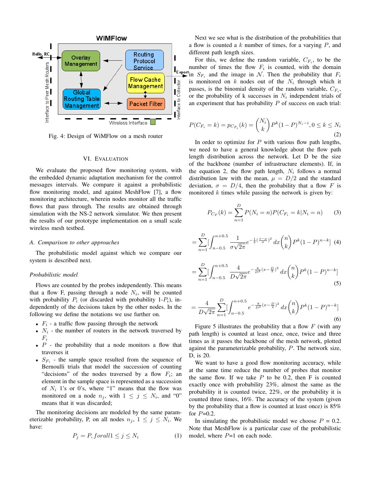

Fig. 4: Design of WiMFlow on a mesh router

#### VI. EVALUATION

We evaluate the proposed flow monitoring system, with the embedded dynamic adaptation mechanism for the control messages intervals. We compare it against a probabilistic flow monitoring model, and against MeshFlow [7], a flow monitoring architecture, wherein nodes monitor all the traffic flows that pass through. The results are obtained through simulation with the NS-2 network simulator. We then present the results of our prototype implementation on a small scale wireless mesh testbed.

#### *A. Comparison to other approaches*

The probabilistic model against which we compare our system is described next.

#### *Probabilistic model*

Flows are counted by the probes independently. This means that a flow F, passing through a node  $N_i$ , will be counted with probability  $P_i$  (or discarded with probability 1- $P_i$ ), independently of the decisions taken by the other nodes. In the following we define the notations we use further on.

- $F_i$  a traffic flow passing through the network
- $N_i$  the number of routers in the network traversed by  $F_i$
- $P$  the probability that a node monitors a flow that traverses it
- $S_{F_i}$  the sample space resulted from the sequence of Bernoulli trials that model the succession of counting "decisions" of the nodes traversed by a flow  $F_i$ ; an element in the sample space is represented as a succession of  $N_i$  1's or 0's, where "1" means that the flow was monitored on a node  $n_j$ , with  $1 \leq j \leq N_i$ , and "0" means that it was discarded;

The monitoring decisions are modeled by the same parameterizable probability, P, on all nodes  $n_j$ ,  $1 \leq j \leq N_i$ . We have:

$$
P_j = P, for all 1 \le j \le N_i \tag{1}
$$

Next we see what is the distribution of the probabilities that a flow is counted a  $k$  number of times, for a varying  $P$ , and different path length sizes.

For this, we define the random variable,  $C_{F_i}$ , to be the number of times the flow  $F_i$  is counted, with the domain in  $S_{F_i}$  and the image in N. Then the probability that  $F_i$ is monitored on  $k$  nodes out of the  $N_i$  through which it passes, is the binomial density of the random variable,  $C_{F_i}$ , or the probability of k successes in  $N_i$  independent trials of an experiment that has probability  $P$  of success on each trial:

$$
P(C_{F_i} = k) = p_{C_{F_i}}(k) = \binom{N_i}{k} P^k (1 - P)^{N_i - i}, 0 \le k \le N_i
$$
\n(2)

In order to optimize for  $P$  with various flow path lengths, we need to have a general knowledge about the flow path length distribution across the network. Let D be the size of the backbone (number of infrastructure elements). If, in the equation 2, the flow path length,  $N_i$  follows a normal distribution law with the mean,  $\mu = D/2$  and the standard deviation,  $\sigma = D/4$ , then the probability that a flow F is monitored  $k$  times while passing the network is given by:

$$
P_{C_F}(k) = \sum_{n=1}^{D} P(N_i = n) P(C_{F_i} = k | N_i = n)
$$
 (3)

$$
= \sum_{n=1}^{D} \left[ \int_{n-0.5}^{n+0.5} \frac{1}{\sigma \sqrt{2\pi}} e^{-\frac{1}{2} (\frac{x-\mu}{\sigma})^2} dx \binom{n}{k} P^k (1-P)^{n-k} \right] (4)
$$

$$
= \sum_{n=1}^{D} \left[ \int_{n-0.5}^{n+0.5} \frac{4}{D\sqrt{2\pi}} e^{-\frac{8}{D^2}(x-\frac{D}{2})^2} dx \binom{n}{k} P^k (1-P)^{n-k} \right]
$$
(5)

$$
= \frac{4}{D\sqrt{2\pi}} \sum_{n=1}^{D} \left[ \int_{n-0.5}^{n+0.5} e^{-\frac{8}{D^2}(x-\frac{D}{2})^2} dx \binom{n}{k} P^k (1-P)^{n-k} \right]
$$
(6)

Figure 5 illustrates the probability that a flow  $F$  (with any path length) is counted at least once, once, twice and three times as it passes the backbone of the mesh network, plotted against the parameterizable probability, P. The network size, D, is 20.

We want to have a good flow monitoring accuracy, while at the same time reduce the number of probes that monitor the same flow. If we take  $P$  to be 0.2, then  $F$  is counted exactly once with probability 23%, almost the same as the probability it is counted twice, 22%, or the probability it is counted three times, 16%. The accuracy of the system (given by the probability that a flow is counted at least once) is 85% for  $P=0.2$ .

In simulating the probabilistic model we choose  $P = 0.2$ . Note that MeshFlow is a particular case of the probabilistic model, where  $P=1$  on each node.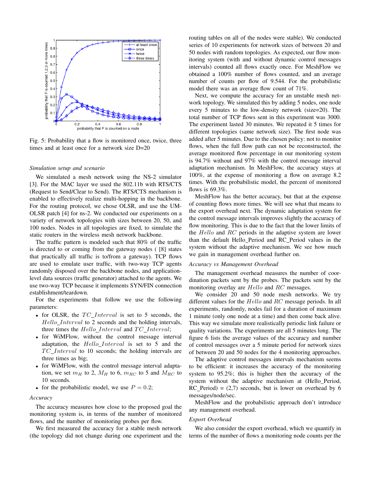

Fig. 5: Probability that a flow is monitored once, twice, three times and at least once for a network size D=20

#### *Simulation setup and scenario*

We simulated a mesh network using the NS-2 simulator [3]. For the MAC layer we used the 802.11b with RTS/CTS (Request to Send/Clear to Send). The RTS/CTS mechanism is enabled to effectively realize multi-hopping in the backbone. For the routing protocol, we chose OLSR, and use the UM-OLSR patch [4] for ns-2. We conducted our experiments on a variety of network topologies with sizes between 20, 50, and 100 nodes. Nodes in all topologies are fixed, to simulate the static routers in the wireless mesh network backbone.

The traffic pattern is modeled such that 80% of the traffic is directed to or coming from the gateway nodes ( [8] states that practically all traffic is to/from a gateway). TCP flows are used to emulate user traffic, with two-way TCP agents randomly disposed over the backbone nodes, and applicationlevel data sources (traffic generator) attached to the agents. We use two-way TCP because it implements SYN/FIN connection establishment/teardown.

For the experiments that follow we use the following parameters:

- for OLSR, the  $TC\_Interval$  is set to 5 seconds, the Hello\_Interval to 2 seconds and the holding intervals, three times the  $Hello\_Interval$  and  $TC\_Interval$ ;
- for WiMFlow, without the control message interval adaptation, the Hello\_Interval is set to 5 and the  $TC\_Interval$  to 10 seconds; the holding intervals are three times as big;
- for WiMFlow, with the control message interval adaptation, we set  $m_H$  to 2,  $M_H$  to 6,  $m_{RC}$  to 5 and  $M_{RC}$  to 10 seconds.
- for the probabilistic model, we use  $P = 0.2$ ;

#### *Accuracy*

The accuracy measures how close to the proposed goal the monitoring system is, in terms of the number of monitored flows, and the number of monitoring probes per flow.

We first measured the accuracy for a stable mesh network (the topology did not change during one experiment and the routing tables on all of the nodes were stable). We conducted series of 10 experiments for network sizes of between 20 and 50 nodes with random topologies. As expected, our flow monitoring system (with and without dynamic control messages intervals) counted all flows exactly once. For MeshFlow we obtained a 100% number of flows counted, and an average number of counts per flow of 9.544. For the probabilistic model there was an average flow count of 71%.

Next, we compute the accuracy for an unstable mesh network topology. We simulated this by adding 5 nodes, one node every 5 minutes to the low-density network (size=20). The total number of TCP flows sent in this experiment was 3000. The experiment lasted 30 minutes. We repeated it 5 times for different topologies (same network size). The first node was added after 5 minutes. Due to the chosen policy: not to monitor flows, when the full flow path can not be reconstructed, the average monitored flow percentage in our monitoring system is 94.7% without and 97% with the control message interval adaptation mechanism. In MeshFlow, the accuracy stays at 100%, at the expense of monitoring a flow on average 8.2 times. With the probabilistic model, the percent of monitored flows is 69.3%.

MeshFlow has the better accuracy, but that at the expense of counting flows more times. We will see what that means to the export overhead next. The dynamic adaptation system for the control message intervals improves slightly the accuracy of flow monitoring. This is due to the fact that the lower limits of the Hello and RC periods in the adaptive system are lower than the default Hello Period and RC Period values in the system without the adaptive mechanism. We see how much we gain in management overhead further on.

#### *Accuracy vs Management Overhead*

The management overhead measures the number of coordination packets sent by the probes. The packets sent by the monitoring overlay are *Hello* and *RC* messages.

We consider 20 and 50 node mesh networks. We try different values for the Hello and RC message periods. In all experiments, randomly, nodes fail for a duration of maximum 1 minute (only one node at a time) and then come back alive. This way we simulate more realistically periodic link failure or quality variations. The experiments are all 5 minutes long. The figure 6 lists the average values of the accuracy and number of control messages over a 5 minute period for network sizes of between 20 and 50 nodes for the 4 monitoring approaches.

The adaptive control messages intervals mechanism seems to be efficient: it increases the accuracy of the monitoring system to 95.2%; this is higher then the accuracy of the system without the adaptive mechanism at (Hello\_Period,  $RC\_Period$  = (2,7) seconds, but is lower on overhead by 6 messages/node/sec.

MeshFlow and the probabilistic approach don't introduce any management overhead.

#### *Export Overhead*

We also consider the export overhead, which we quantify in terms of the number of flows a monitoring node counts per the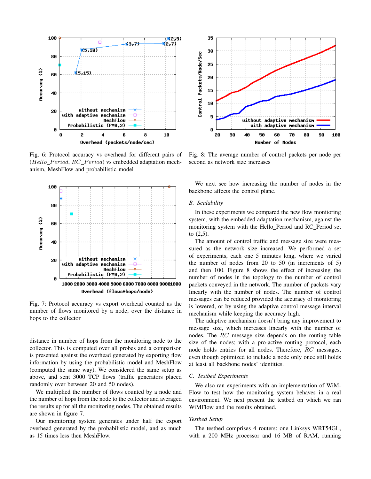

Fig. 6: Protocol accuracy vs overhead for different pairs of  $(Hello\_Period, RC\_Period)$  vs embedded adaptation mechanism, MeshFlow and probabilistic model



Fig. 7: Protocol accuracy vs export overhead counted as the number of flows monitored by a node, over the distance in hops to the collector

distance in number of hops from the monitoring node to the collector. This is computed over all probes and a comparison is presented against the overhead generated by exporting flow information by using the probabilistic model and MeshFlow (computed the same way). We considered the same setup as above, and sent 3000 TCP flows (traffic generators placed randomly over between 20 and 50 nodes).

We multiplied the number of flows counted by a node and the number of hops from the node to the collector and averaged the results up for all the monitoring nodes. The obtained results are shown in figure 7.

Our monitoring system generates under half the export overhead generated by the probabilistic model, and as much as 15 times less then MeshFlow.



Fig. 8: The average number of control packets per node per second as network size increases

We next see how increasing the number of nodes in the backbone affects the control plane.

#### *B. Scalability*

In these experiments we compared the new flow monitoring system, with the embedded adaptation mechanism, against the monitoring system with the Hello Period and RC Period set to (2,5).

The amount of control traffic and message size were measured as the network size increased. We performed a set of experiments, each one 5 minutes long, where we varied the number of nodes from 20 to 50 (in increments of 5) and then 100. Figure 8 shows the effect of increasing the number of nodes in the topology to the number of control packets conveyed in the network. The number of packets vary linearly with the number of nodes. The number of control messages can be reduced provided the accuracy of monitoring is lowered, or by using the adaptive control message interval mechanism while keeping the accuracy high.

The adaptive mechanism doesn't bring any improvement to message size, which increases linearly with the number of nodes. The RC message size depends on the routing table size of the nodes; with a pro-active routing protocol, each node holds entries for all nodes. Therefore, RC messages, even though optimized to include a node only once still holds at least all backbone nodes' identities.

#### *C. Testbed Experiments*

We also ran experiments with an implementation of WiM-Flow to test how the monitoring system behaves in a real environment. We next present the testbed on which we ran WiMFlow and the results obtained.

#### *Testbed Setup*

The testbed comprises 4 routers: one Linksys WRT54GL, with a 200 MHz processor and 16 MB of RAM, running